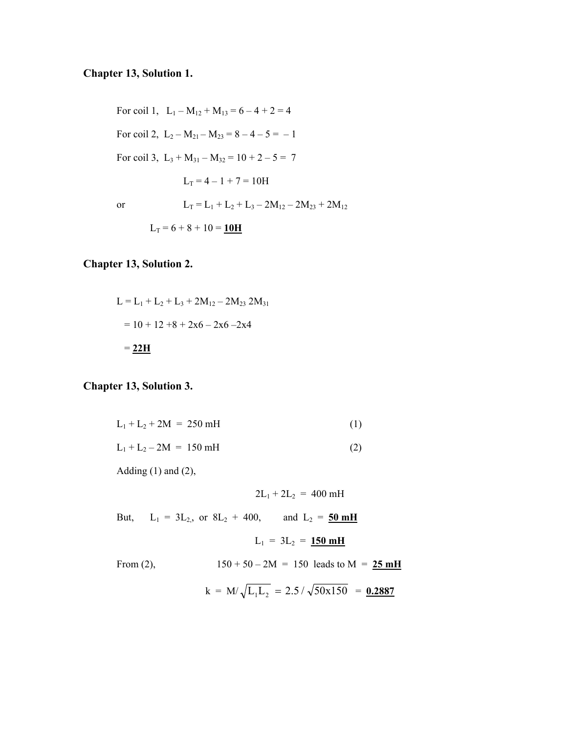## **Chapter 13, Solution 1.**

For coil 1,  $L_1 - M_{12} + M_{13} = 6 - 4 + 2 = 4$ For coil 2,  $L_2 - M_{21} - M_{23} = 8 - 4 - 5 = -1$ For coil 3,  $L_3 + M_{31} - M_{32} = 10 + 2 - 5 = 7$  $L_T = 4 - 1 + 7 = 10H$ or  $L_T = L_1 + L_2 + L_3 - 2M_{12} - 2M_{23} + 2M_{12}$  $L_T = 6 + 8 + 10 = 10H$ 

#### **Chapter 13, Solution 2.**

$$
L = L_1 + L_2 + L_3 + 2M_{12} - 2M_{23} 2M_{31}
$$
  
= 10 + 12 +8 + 2x6 - 2x6 - 2x4  
= 22H

#### **Chapter 13, Solution 3.**

| $L_1 + L_2 + 2M = 250$ mH |     |
|---------------------------|-----|
| $L_1 + L_2 - 2M = 150$ mH | (2) |

Adding  $(1)$  and  $(2)$ ,

$$
2L_1 + 2L_2 = 400 \text{ mH}
$$

But,  $L_1 = 3L_{2,0}$  or  $8L_2 + 400$ , and  $L_2 = 50$  mH

$$
L_1 = 3L_2 = 150 \text{ mH}
$$

From (2),  $150 + 50 - 2M = 150$  leads to  $M = 25$  mH

$$
k = M/\sqrt{L_1L_2} = 2.5/\sqrt{50x150} = 0.2887
$$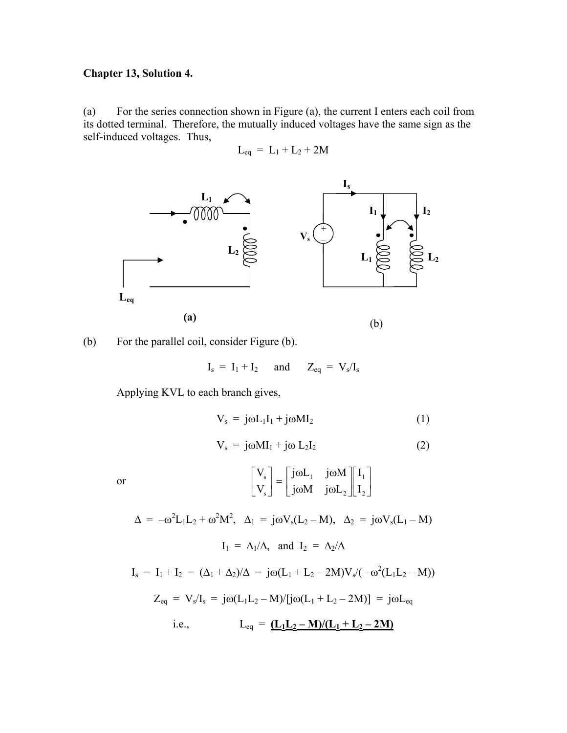#### **Chapter 13, Solution 4.**

(a) For the series connection shown in Figure (a), the current I enters each coil from its dotted terminal. Therefore, the mutually induced voltages have the same sign as the self-induced voltages. Thus,

$$
L_{eq} = L_1 + L_2 + 2M
$$



(b) For the parallel coil, consider Figure (b).

$$
I_s = I_1 + I_2 \quad \text{and} \quad Z_{eq} = V_s/I_s
$$

Applying KVL to each branch gives,

$$
V_s = j\omega L_1 I_1 + j\omega M I_2 \tag{1}
$$

$$
V_s = j\omega M I_1 + j\omega L_2 I_2 \qquad (2)
$$

or 
$$
\begin{bmatrix} V_s \\ V_s \end{bmatrix} = \begin{bmatrix} j\omega L_1 & j\omega M \\ j\omega M & j\omega L_2 \end{bmatrix} \begin{bmatrix} I_1 \\ I_2 \end{bmatrix}
$$

 $\Delta = -\omega^2 L_1 L_2 + \omega^2 M^2$ ,  $\Delta_1 = j\omega V_s (L_2 - M)$ ,  $\Delta_2 = j\omega V_s (L_1 - M)$  $I_1 = \Delta_1/\Delta$ , and  $I_2 = \Delta_2/\Delta$ 

 $I_s = I_1 + I_2 = (\Delta_1 + \Delta_2)/\Delta = j\omega(L_1 + L_2 - 2M)V_s/(-\omega^2(L_1L_2 - M))$  $Z_{eq} = V_s/I_s = j\omega(L_1L_2 - M)/[j\omega(L_1 + L_2 - 2M)] = j\omega L_{eq}$ i.e.,  $L_{eq} = (\underline{L_1L_2 - M})/(\underline{L_1 + L_2 - 2M})$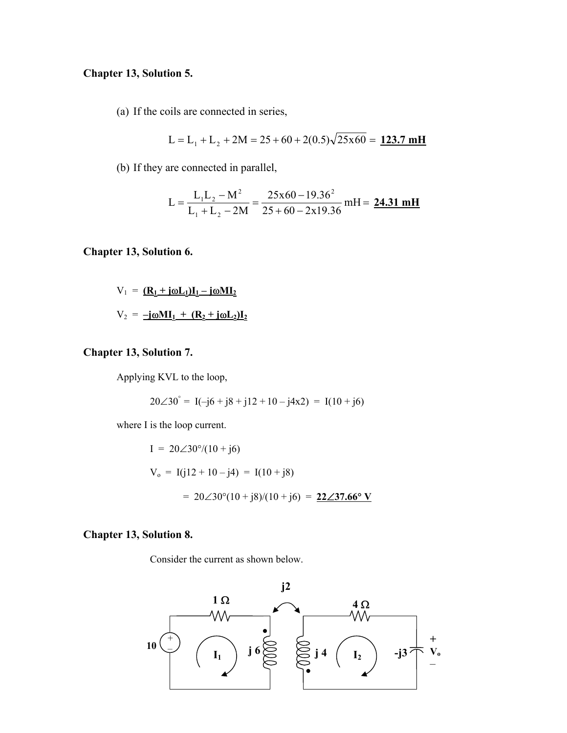## **Chapter 13, Solution 5.**

(a) If the coils are connected in series,

$$
L = L1 + L2 + 2M = 25 + 60 + 2(0.5)\sqrt{25x60} = 123.7 \text{ mH}
$$

(b) If they are connected in parallel,

$$
L = \frac{L_1 L_2 - M^2}{L_1 + L_2 - 2M} = \frac{25x60 - 19.36^2}{25 + 60 - 2x19.36} mH = \frac{24.31 mH}{25 + 60 - 2x19.36}
$$

**Chapter 13, Solution 6.** 

$$
V_1 = \underline{R_1 + j\omega L_1}\underline{I_1 - j\omega M_2}
$$

$$
V_2 = \underline{-j\omega M_1 + (R_2 + j\omega L_2)\underline{I_2}}
$$

## **Chapter 13, Solution 7.**

Applying KVL to the loop,

$$
20\angle 30^{\degree} = I(-j6 + j8 + j12 + 10 - j4x2) = I(10 + j6)
$$

where I is the loop current.

I = 
$$
20\angle 30^\circ/(10 + j6)
$$
  
\nV<sub>o</sub> = I(j12 + 10 - j4) = I(10 + j8)  
\n=  $20\angle 30^\circ(10 + j8)/(10 + j6) = 22\angle 37.66^\circ$  V

### **Chapter 13, Solution 8.**

Consider the current as shown below.

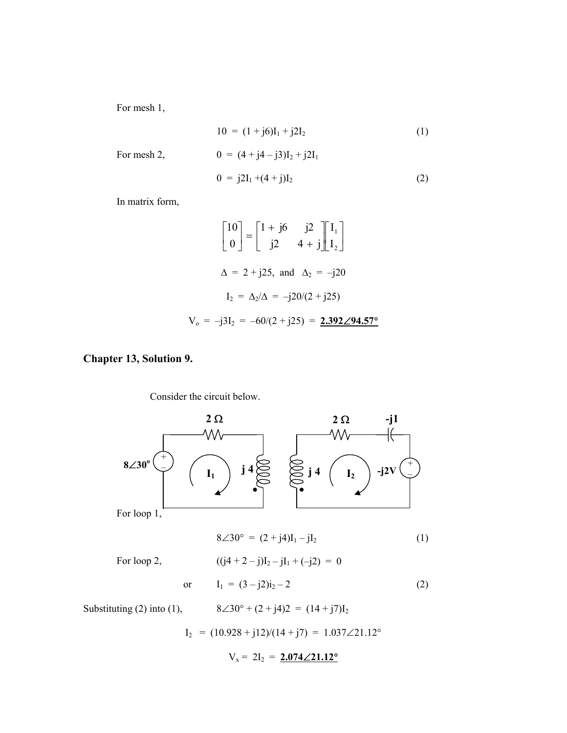For mesh 1,

$$
10 = (1 + j6)I_1 + j2I_2
$$
\n
$$
0 = (4 + j4 - j3)I_2 + j2I_1
$$
\n
$$
0 = j2I_1 + (4 + j)I_2
$$
\n(2)

In matrix form,

$$
\begin{bmatrix} 10 \\ 0 \end{bmatrix} = \begin{bmatrix} 1 + j6 & j2 \\ j2 & 4 + j \end{bmatrix} \begin{bmatrix} I_1 \\ I_2 \end{bmatrix}
$$
  
 
$$
\Delta = 2 + j25, \text{ and } \Delta_2 = -j20
$$
  
\n
$$
I_2 = \Delta_2/\Delta = -j20/(2 + j25)
$$
  
\n
$$
V_0 = -j3I_2 = -60/(2 + j25) = 2.392 \angle 94.57^{\circ}
$$

# **Chapter 13, Solution 9.**

Consider the circuit below.

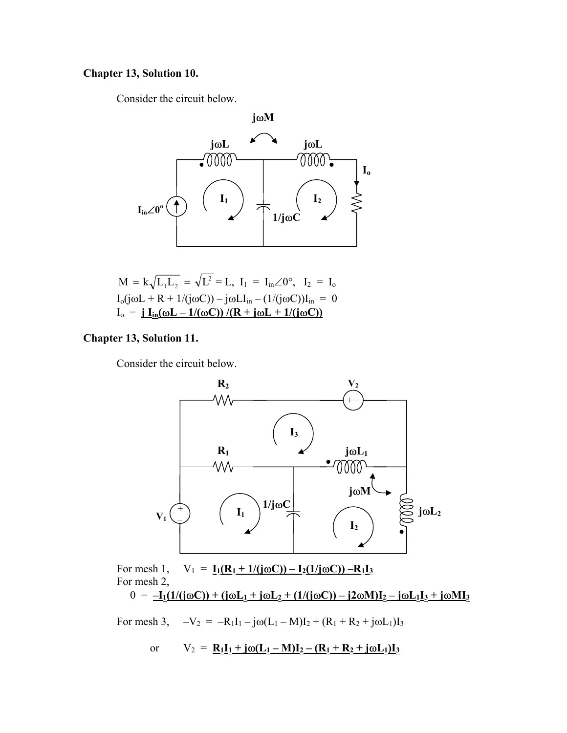# **Chapter 13, Solution 10.**

Consider the circuit below.



$$
M = k\sqrt{L_1L_2} = \sqrt{L^2} = L, I_1 = I_{in}\angle 0^\circ, I_2 = I_0
$$
  
\n
$$
I_0(j\omega L + R + 1/(j\omega C)) - j\omega L I_{in} - (1/(j\omega C))I_{in} = 0
$$
  
\n
$$
I_0 = \underline{\mathbf{i}} I_{in}(\omega L - 1/(\omega C)) / (R + j\omega L + 1/(j\omega C))
$$

# **Chapter 13, Solution 11.**

Consider the circuit below.



For mesh 1,  $V_1 = I_1(R_1 + 1/(j\omega C)) - I_2(1/j\omega C)) - R_1I_3$ For mesh 2,  $0 = -I_1(1/(\mathrm{j}\omega C)) + (\mathrm{j}\omega L_1 + \mathrm{j}\omega L_2 + (1/(\mathrm{j}\omega C)) - \mathrm{j}2\omega M)I_2 - \mathrm{j}\omega L_1I_3 + \mathrm{j}\omega MI_3$ 

For mesh 3, 
$$
-V_2 = -R_1I_1 - j\omega(L_1 - M)I_2 + (R_1 + R_2 + j\omega L_1)I_3
$$

or 
$$
V_2 = \mathbf{R}_1 \mathbf{I}_1 + \mathbf{j} \omega (\mathbf{L}_1 - \mathbf{M}) \mathbf{I}_2 - (\mathbf{R}_1 + \mathbf{R}_2 + \mathbf{j} \omega \mathbf{L}_1) \mathbf{I}_3
$$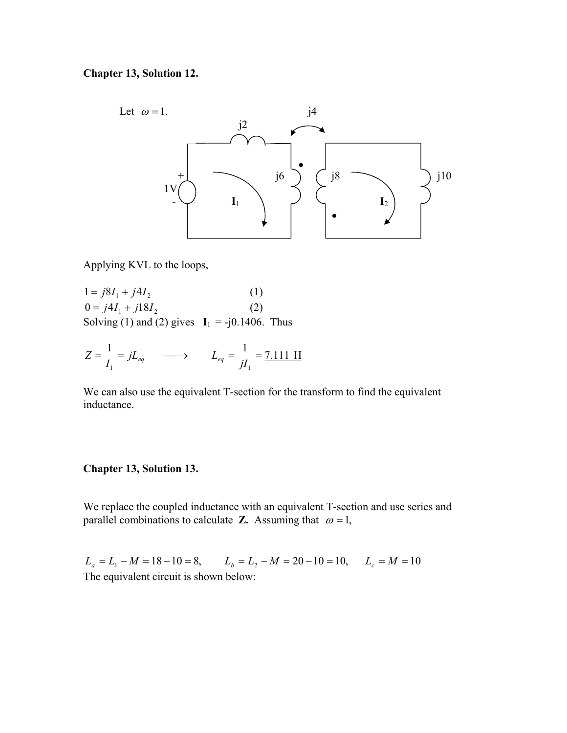## **Chapter 13, Solution 12.**



Applying KVL to the loops,

 $1 = j8I_1 + j4I_2$  (1)  $0 = j4I_1 + j18I_2$  (2) Solving (1) and (2) gives  $I_1 = -j0.1406$ . Thus

$$
Z = \frac{1}{I_1} = jL_{eq} \longrightarrow L_{eq} = \frac{1}{jI_1} = \frac{7.111 \text{ H}}{7.111 \text{ H}}
$$

We can also use the equivalent T-section for the transform to find the equivalent inductance.

#### **Chapter 13, Solution 13.**

We replace the coupled inductance with an equivalent T-section and use series and parallel combinations to calculate **Z.** Assuming that  $\omega = 1$ ,

 $L_a = L_1 - M = 18 - 10 = 8$ ,  $L_b = L_2 - M = 20 - 10 = 10$ ,  $L_c = M = 10$ The equivalent circuit is shown below: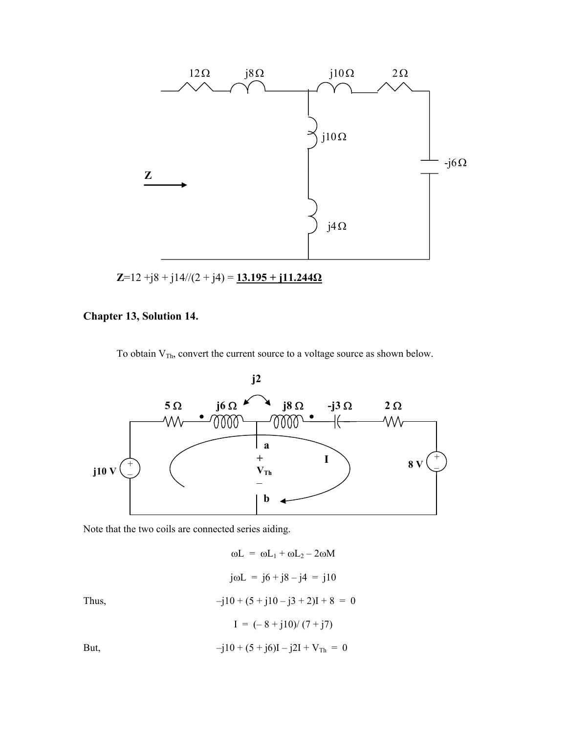

#### **Chapter 13, Solution 14.**

To obtain  $V_{Th}$ , convert the current source to a voltage source as shown below.



Note that the two coils are connected series aiding.

 $\omega L = \omega L_1 + \omega L_2 - 2\omega M$ jωL = j6 + j8 – j4 = j10 Thus,  $-j10 + (5 + j10 - j3 + 2)I + 8 = 0$  $I = (-8 + i10)/(7 + i7)$ But,  $-j10 + (5 + j6)I - j2I + V_{Th} = 0$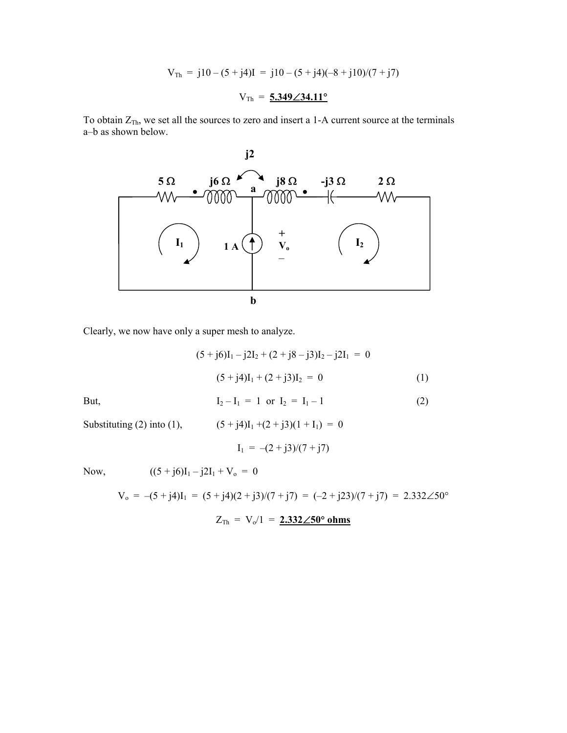$$
V_{\text{Th}} = j10 - (5 + j4)I = j10 - (5 + j4)(-8 + j10)/(7 + j7)
$$

$$
V_{\text{Th}} = \frac{5.349 \angle 34.11^{\circ}}{5.349 \angle 34.11^{\circ}}
$$

To obtain  $Z_{Th}$ , we set all the sources to zero and insert a 1-A current source at the terminals a–b as shown below.



Clearly, we now have only a super mesh to analyze.

$$
(5 + j6)I1 - j2I2 + (2 + j8 - j3)I2 - j2I1 = 0
$$

$$
(5 + j4)I1 + (2 + j3)I2 = 0
$$
 (1)

But, 
$$
I_2 - I_1 = 1
$$
 or  $I_2 = I_1 - 1$  (2)

Substituting (2) into (1),  $(5 + j4)I_1 + (2 + j3)(1 + I_1) = 0$ 

$$
I_1\,=\,-(2+j3)/(7+j7)
$$

Now,  $((5 + j6)I_1 - j2I_1 + V_0 = 0$ 

$$
V_o = -(5 + j4)I_1 = (5 + j4)(2 + j3)/(7 + j7) = (-2 + j23)/(7 + j7) = 2.332 \angle 50^\circ
$$

 $Z_{\text{Th}} = V_0/1 = 2.332 \angle 50^\circ \text{ ohms}$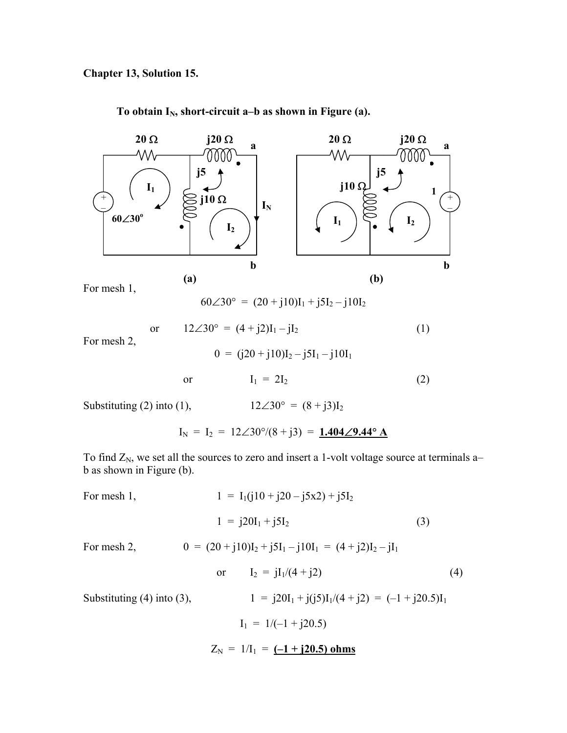To obtain I<sub>N</sub>, short-circuit a–b as shown in Figure (a).



60∠30° =  $(20 + j10)I_1 + j5I_2 - j10I_2$ 

For mesh 2,

 $0 = (i20 + i10)I_2 - i5I_1 - i10I_1$ 

or  $12\angle 30^{\circ} = (4 + j2)I_1 - jI_2$  (1)

or  $I_1 = 2I_2$  (2)

Substituting (2) into (1),  $12\angle 30^\circ = (8 + j3)I_2$ 

 $I_N = I_2 = 12∠30°/(8 + j3) = 1.404∠9.44° A$ 

To find  $Z_N$ , we set all the sources to zero and insert a 1-volt voltage source at terminals ab as shown in Figure (b).

For mesh 1,  
\n
$$
1 = I_1(j10 + j20 - j5x2) + j5I_2
$$
\n
$$
1 = j20I_1 + j5I_2
$$
\n(3)  
\nFor mesh 2,  
\n
$$
0 = (20 + j10)I_2 + j5I_1 - j10I_1 = (4 + j2)I_2 - jI_1
$$
\nor  
\n
$$
I_2 = jI_1/(4 + j2)
$$
\n(4)

Substituting (4) into (3), 
$$
1 = j20I_1 + j(j5)I_1/(4+j2) = (-1+j20.5)I_1
$$

$$
I_1 = 1/(-1+j20.5)
$$

 $Z_N = 1/I_1 = (-1 + i20.5)$  ohms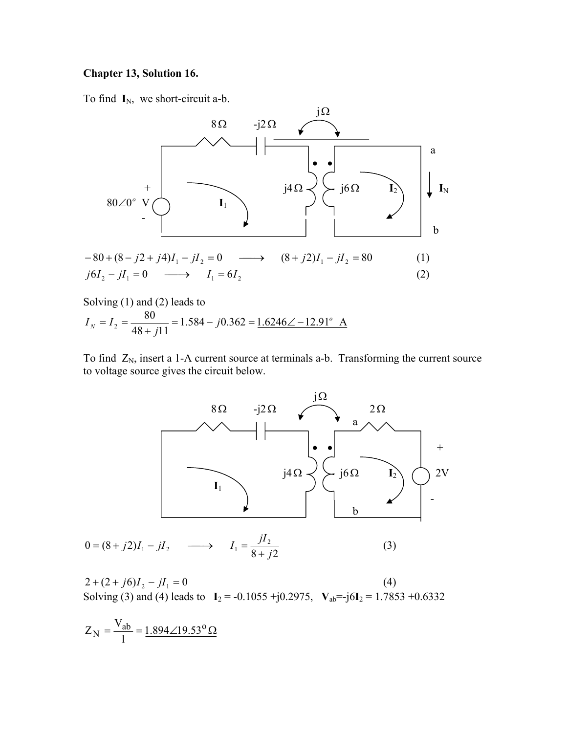## **Chapter 13, Solution 16.**

To find **I**<sub>N</sub>, we short-circuit a-b.



Solving (1) and (2) leads to  
\n
$$
I_N = I_2 = \frac{80}{48 + j11} = 1.584 - j0.362 = 1.6246 \angle -12.91^{\circ}
$$
 A

To find  $Z_N$ , insert a 1-A current source at terminals a-b. Transforming the current source to voltage source gives the circuit below.



$$
0 = (8 + j2)I_1 - jI_2 \longrightarrow I_1 = \frac{jI_2}{8 + j2}
$$
 (3)

 $2 + (2 + j6)I_2 - jI_1 = 0$  (4) Solving (3) and (4) leads to  $I_2 = -0.1055 + j0.2975$ ,  $V_{ab} = -j6I_2 = 1.7853 + 0.6332$ 

$$
Z_N = \frac{V_{ab}}{1} = \frac{1.894 \angle 19.53^{\circ} \Omega}{}
$$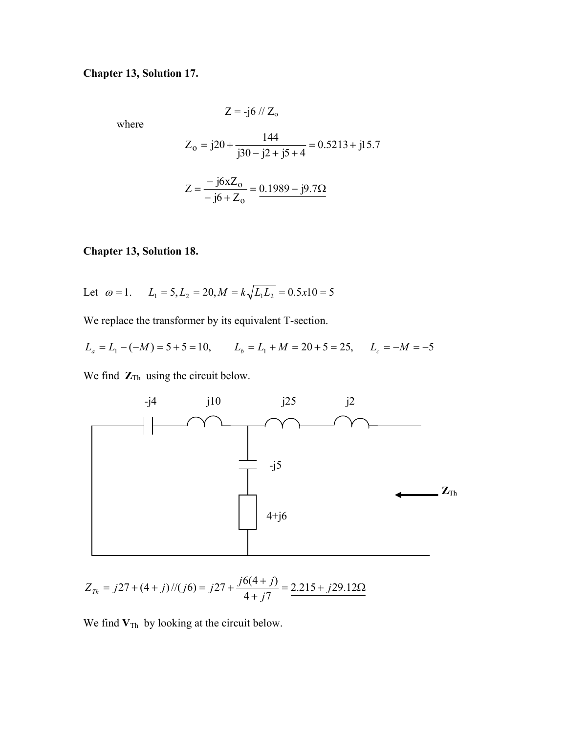## **Chapter 13, Solution 17.**

where

$$
Z = -j6 \text{ // } Z_{o}
$$

$$
Z_0 = j20 + \frac{144}{j30 - j2 + j5 + 4} = 0.5213 + j15.7
$$

$$
Z = \frac{-j6xZ_0}{-j6 + Z_0} = \frac{0.1989 - j9.7\Omega}{}
$$

# **Chapter 13, Solution 18.**

Let 
$$
\omega = 1
$$
.  $L_1 = 5$ ,  $L_2 = 20$ ,  $M = k\sqrt{L_1 L_2} = 0.5x10 = 5$ 

We replace the transformer by its equivalent T-section.

$$
L_a = L_1 - (-M) = 5 + 5 = 10, \qquad L_b = L_1 + M = 20 + 5 = 25, \qquad L_c = -M = -5
$$

We find  $\mathbf{Z}_{\text{Th}}$  using the circuit below.



$$
Z_{Th} = j27 + (4+j)/(j6) = j27 + \frac{j6(4+j)}{4+j7} = \frac{2.215 + j29.12\Omega}{}
$$

We find  $V_{\text{Th}}$  by looking at the circuit below.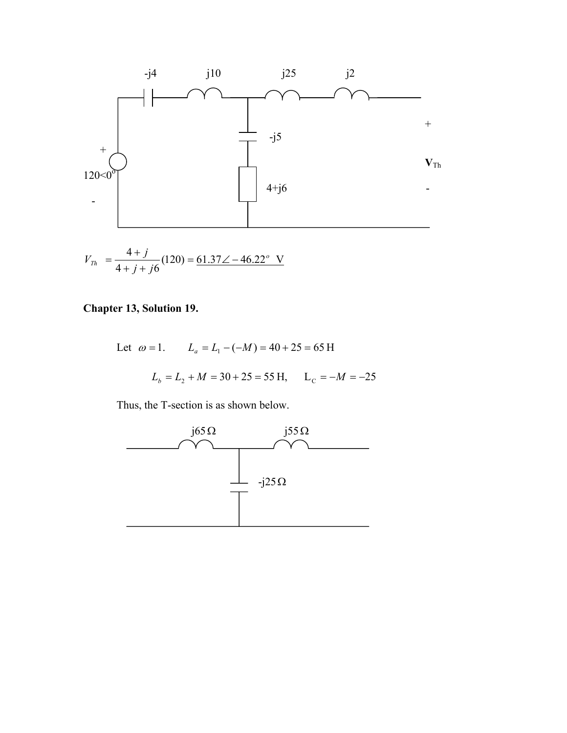

$$
V_{Th} = \frac{4+j}{4+j+j6} (120) = \underline{61.37} \angle -46.22^{\circ} \text{ V}
$$

# **Chapter 13, Solution 19.**

Let 
$$
\omega = 1
$$
.  $L_a = L_1 - (-M) = 40 + 25 = 65$  H  
 $L_b = L_2 + M = 30 + 25 = 55$  H,  $L_c = -M = -25$ 

Thus, the T-section is as shown below.

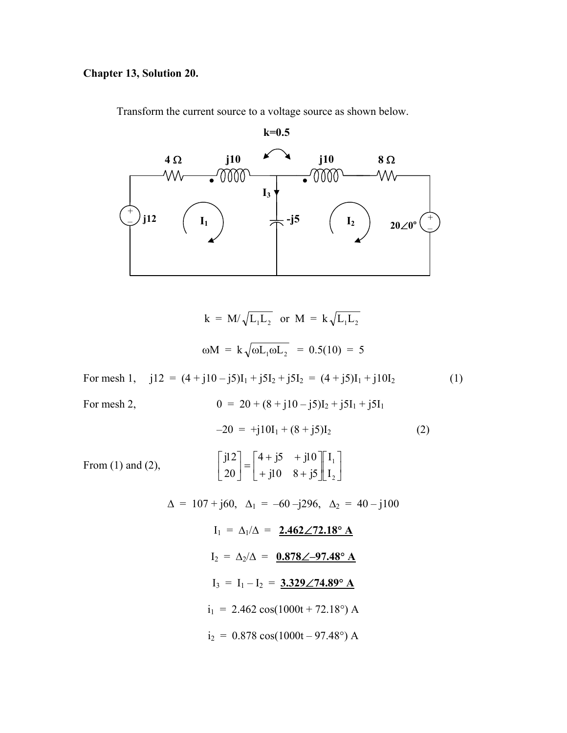# **Chapter 13, Solution 20.**

Transform the current source to a voltage source as shown below.



$$
k = M/\sqrt{L_1L_2} \text{ or } M = k\sqrt{L_1L_2}
$$
  
\n
$$
\omega M = k\sqrt{\omega L_1 \omega L_2} = 0.5(10) = 5
$$
  
\nFor mesh 1, j12 = (4 + j10 – j5)I<sub>1</sub> + j5I<sub>2</sub> + j5I<sub>2</sub> = (4 + j5)I<sub>1</sub> + j10I<sub>2</sub> (1)  
\nFor mesh 2, 
$$
0 = 20 + (8 + j10 - j5)I_2 + j5I_1 + j5I_1
$$

$$
-20 = +j10I_1 + (8 + j5)I_2
$$
(2)  
\n
$$
\begin{bmatrix} j12 \end{bmatrix} \begin{bmatrix} 4 + j5 + j10 \end{bmatrix} \begin{bmatrix} I_1 \end{bmatrix}
$$

From (1) and (2), 
$$
\begin{bmatrix} j12 \ 20 \end{bmatrix} = \begin{bmatrix} 4+j5 & +j10 \ +j10 & 8+j5 \end{bmatrix} \begin{bmatrix} I_1 \ I_2 \end{bmatrix}
$$

$$
\Delta = 107 + j60, \quad \Delta_1 = -60 - j296, \quad \Delta_2 = 40 - j100
$$
\n
$$
I_1 = \Delta_1/\Delta = 2.462 \angle 72.18^\circ \text{ A}
$$
\n
$$
I_2 = \Delta_2/\Delta = 0.878 \angle -97.48^\circ \text{ A}
$$
\n
$$
I_3 = I_1 - I_2 = 3.329 \angle 74.89^\circ \text{ A}
$$
\n
$$
i_1 = 2.462 \cos(1000t + 72.18^\circ) \text{ A}
$$
\n
$$
i_2 = 0.878 \cos(1000t - 97.48^\circ) \text{ A}
$$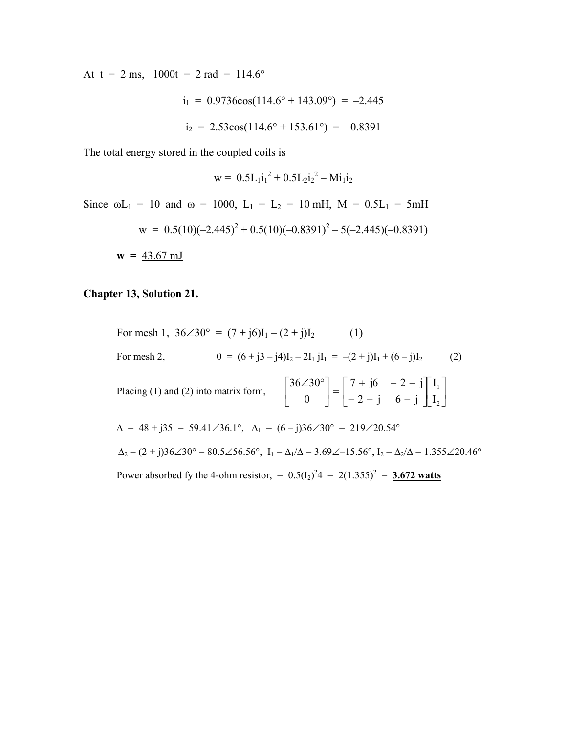At t = 2 ms,  $1000t = 2$  rad =  $114.6^\circ$ 

$$
i_1 = 0.9736 \cos(114.6^\circ + 143.09^\circ) = -2.445
$$
  

$$
i_2 = 2.53 \cos(114.6^\circ + 153.61^\circ) = -0.8391
$$

The total energy stored in the coupled coils is

$$
w = 0.5 L_1 i_1^2 + 0.5 L_2 i_2^2 - Mi_1 i_2
$$

Since  $\omega L_1 = 10$  and  $\omega = 1000$ ,  $L_1 = L_2 = 10$  mH,  $M = 0.5L_1 = 5$ mH

$$
w = 0.5(10)(-2.445)^{2} + 0.5(10)(-0.8391)^{2} - 5(-2.445)(-0.8391)
$$

 $w = 43.67 \text{ mJ}$ 

## **Chapter 13, Solution 21.**

For mesh 1, 
$$
36\angle 30^{\circ} = (7 + j6)I_1 - (2 + j)I_2
$$
 (1)  
\nFor mesh 2,  $0 = (6 + j3 - j4)I_2 - 2I_1jI_1 = -(2 + j)I_1 + (6 - j)I_2$  (2)  
\nPlacing (1) and (2) into matrix form,  $\begin{bmatrix} 36\angle 30^{\circ} \\ 0 \end{bmatrix} = \begin{bmatrix} 7 + j6 & -2 - j \\ -2 - j & 6 - j \end{bmatrix} \begin{bmatrix} I_1 \\ I_2 \end{bmatrix}$   
\n $\Delta = 48 + j35 = 59.41\angle 36.1^{\circ}$ ,  $\Delta_1 = (6 - j)36\angle 30^{\circ} = 219\angle 20.54^{\circ}$   
\n $\Delta_2 = (2 + j)36\angle 30^{\circ} = 80.5\angle 56.56^{\circ}$ ,  $I_1 = \Delta_1/\Delta = 3.69\angle -15.56^{\circ}$ ,  $I_2 = \Delta_2/\Delta = 1.355\angle 20.46^{\circ}$   
\nPower absorbed fy the 4-ohm resistor,  $= 0.5(I_2)^2 4 = 2(1.355)^2 = 3.672$  watts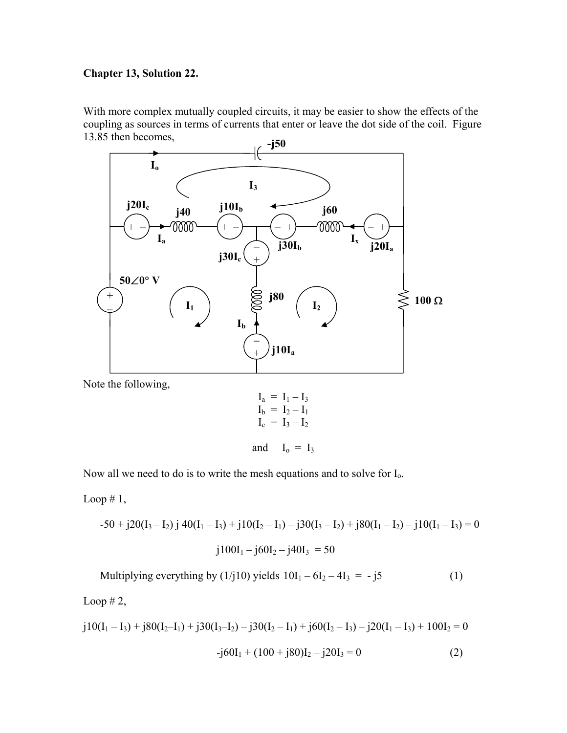## **Chapter 13, Solution 22.**

With more complex mutually coupled circuits, it may be easier to show the effects of the coupling as sources in terms of currents that enter or leave the dot side of the coil. Figure 13.85 then becomes,



Note the following,

$$
I_a = I_1 - I_3
$$
  
\n $I_b = I_2 - I_1$   
\n $I_c = I_3 - I_2$ 

and 
$$
I_o = I_3
$$

Now all we need to do is to write the mesh equations and to solve for  $I_0$ .

Loop  $# 1$ ,

$$
-50 + j20(I_3 - I_2) j 40(I_1 - I_3) + j10(I_2 - I_1) - j30(I_3 - I_2) + j80(I_1 - I_2) - j10(I_1 - I_3) = 0
$$
  

$$
j100I_1 - j60I_2 - j40I_3 = 50
$$

Multiplying everything by  $(1/j10)$  yields  $10I_1 - 6I_2 - 4I_3 = -j5$  (1) Loop  $# 2$ ,

$$
j10(I_1 - I_3) + j80(I_2 - I_1) + j30(I_3 - I_2) - j30(I_2 - I_1) + j60(I_2 - I_3) - j20(I_1 - I_3) + 100I_2 = 0
$$
  
-j60I<sub>1</sub> + (100 + j80)I<sub>2</sub> - j20I<sub>3</sub> = 0 (2)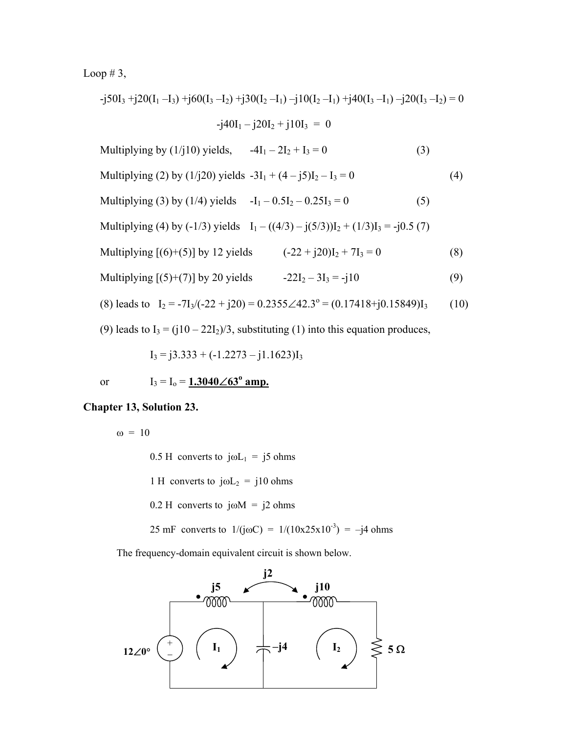Loop # 3,

$$
-j50I_3 + j20(I_1 - I_3) + j60(I_3 - I_2) + j30(I_2 - I_1) - j10(I_2 - I_1) + j40(I_3 - I_1) - j20(I_3 - I_2) = 0
$$
  
\n
$$
-j40I_1 - j20I_2 + j10I_3 = 0
$$
  
\nMultiplying by (1/j10) yields, 
$$
-4I_1 - 2I_2 + I_3 = 0
$$
 (3)  
\nMultiplying (2) by (1/j20) yields 
$$
-3I_1 + (4 - j5)I_2 - I_3 = 0
$$
 (4)  
\nMultiplying (3) by (1/4) yields 
$$
-I_1 - 0.5I_2 - 0.25I_3 = 0
$$
 (5)  
\nMultiplying (4) by (-1/3) yields 
$$
I_1 - ((4/3) - j(5/3))I_2 + (1/3)I_3 = -j0.5
$$
 (7)

- Multiplying  $[(6)+(5)]$  by 12 yields  $(-22 + j20)I_2 + 7I_3 = 0$  (8)
- Multiplying  $[(5)+(7)]$  by 20 yields  $-22I_2 3I_3 = -j10$  (9)

(8) leads to 
$$
I_2 = -7I_3/(-22 + j20) = 0.2355 \angle 42.3^\circ = (0.17418 + j0.15849)I_3
$$
 (10)

(9) leads to  $I_3 = (j10 - 22I_2)/3$ , substituting (1) into this equation produces,

$$
I_3 = j3.333 + (-1.2273 - j1.1623)I_3
$$

# or  $I_3 = I_0 = 1.3040 \angle 63^\circ$  amp.

#### **Chapter 13, Solution 23.**

 $\omega = 10$ 

0.5 H converts to  $j\omega L_1 = j5$  ohms

1 H converts to  $j\omega L_2 = j10$  ohms

0.2 H converts to j $\omega$ M = j2 ohms

25 mF converts to  $1/(j\omega C) = 1/(10x25x10^{-3}) = -j4$  ohms

The frequency-domain equivalent circuit is shown below.

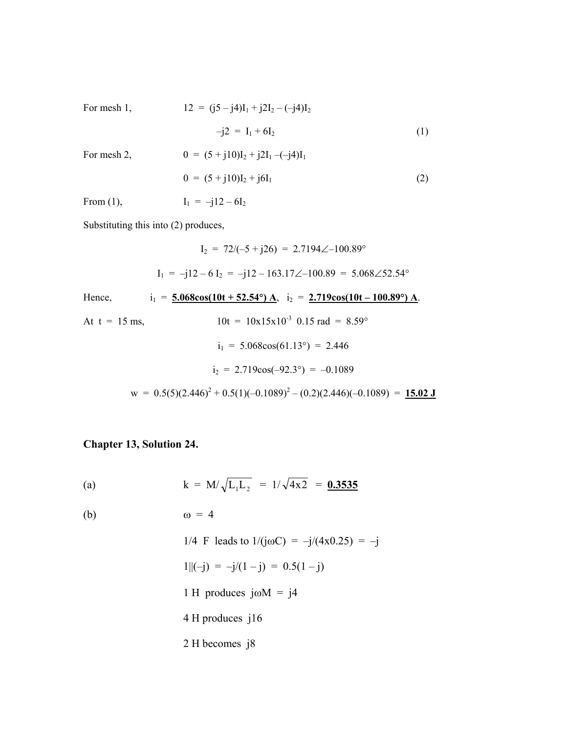For mesh 1,  
\n
$$
12 = (j5 - j4)I_1 + j2I_2 - (-j4)I_2
$$
\n
$$
-j2 = I_1 + 6I_2
$$
\n
$$
0 = (5 + j10)I_2 + j2I_1 - (-j4)I_1
$$
\n
$$
0 = (5 + j10)I_2 + j6I_1
$$
\n(2)  
\nFrom (1),  
\n
$$
I_1 = -j12 - 6I_2
$$

Substituting this into (2) produces,

$$
I_2 = 72/(-5 + j26) = 2.7194\angle -100.89^{\circ}
$$
  
\n
$$
I_1 = -j12 - 6I_2 = -j12 - 163.17\angle -100.89 = 5.068\angle 52.54^{\circ}
$$
  
\nHence,  $i_1 = 5.068\cos(10t + 52.54^{\circ})$  A,  $i_2 = 2.719\cos(10t - 100.89^{\circ})$  A.  
\nAt  $t = 15$  ms,  $10t = 10x15x10^{-3}$  0.15 rad = 8.59°  
\n $i_1 = 5.068\cos(61.13^{\circ}) = 2.446$   
\n $i_2 = 2.719\cos(-92.3^{\circ}) = -0.1089$   
\n $w = 0.5(5)(2.446)^2 + 0.5(1)(-0.1089)^2 - (0.2)(2.446)(-0.1089) = 15.02 \text{ J}$ 

# **Chapter 13, Solution 24.**

(a) 
$$
k = M/\sqrt{L_1L_2} = 1/\sqrt{4x2} = 0.3535
$$

(b)  $\omega = 4$ 

1/4 F leads to 
$$
1/(j\omega C) = -j/(4x0.25) = -j
$$
  
\n1 $||(-j) = -j/(1-j) = 0.5(1-j)$   
\n1 H produces  $j\omega M = j4$   
\n4 H produces  $j16$   
\n2 H becomes  $j8$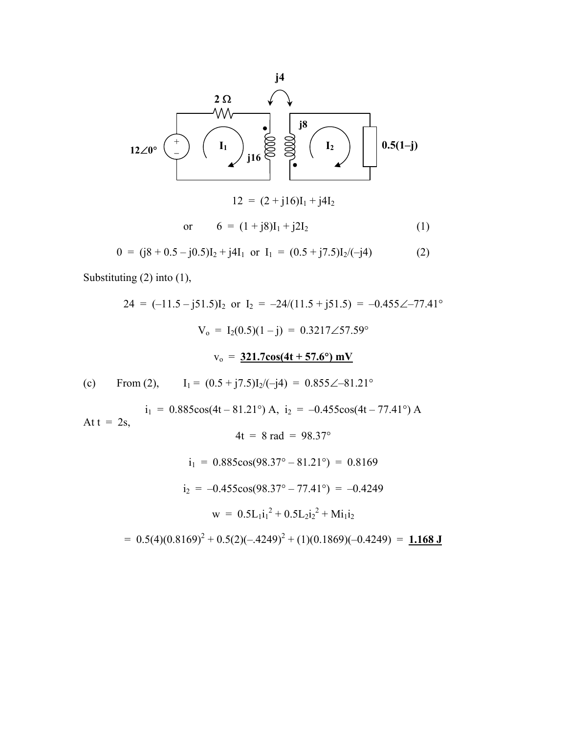

$$
0 = (j8 + 0.5 - j0.5)I_2 + j4I_1 \text{ or } I_1 = (0.5 + j7.5)I_2/(-j4)
$$
 (2)

Substituting (2) into (1),

$$
24 = (-11.5 - j51.5)I_2 \text{ or } I_2 = -24/(11.5 + j51.5) = -0.455\angle -77.41^{\circ}
$$
\n
$$
V_0 = I_2(0.5)(1 - j) = 0.3217\angle 57.59^{\circ}
$$
\n
$$
v_0 = \frac{321.7\cos(4t + 57.6^{\circ}) \text{ mV}}{1} \text{ (c)}
$$
\nFrom (2),  $I_1 = (0.5 + j7.5)I_2/(-j4) = 0.855\angle -81.21^{\circ}$ \n
$$
i_1 = 0.885\cos(4t - 81.21^{\circ}) \text{ A}, i_2 = -0.455\cos(4t - 77.41^{\circ}) \text{ A}
$$
\nAt  $t = 2s$ ,  $4t = 8 \text{ rad} = 98.37^{\circ}$ \n
$$
i_1 = 0.885\cos(98.37^{\circ} - 81.21^{\circ}) = 0.8169
$$
\n
$$
i_2 = -0.455\cos(98.37^{\circ} - 77.41^{\circ}) = -0.4249
$$
\n
$$
w = 0.5L_1i_1^2 + 0.5L_2i_2^2 + Mi_1i_2
$$
\n
$$
= 0.5(4)(0.8169)^2 + 0.5(2)(-.4249)^2 + (1)(0.1869)(-0.4249) = \frac{1.168 \text{ J}}{1.168 \text{ J}}
$$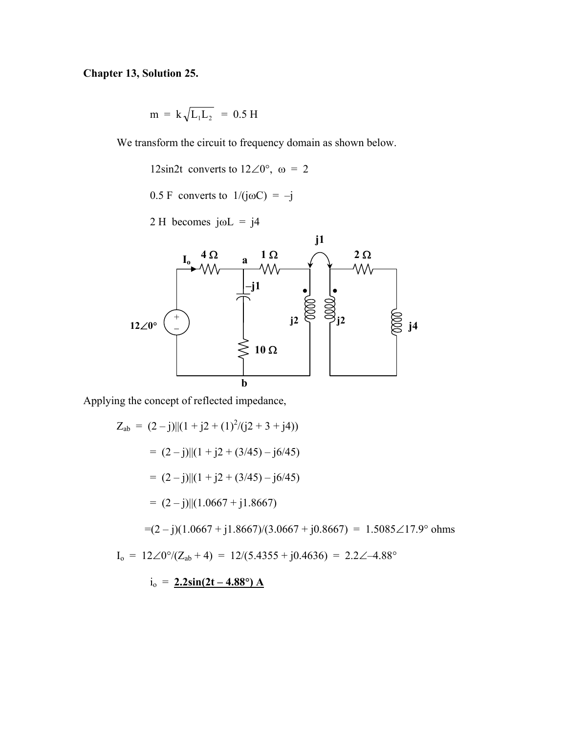## **Chapter 13, Solution 25.**

$$
m = k \sqrt{L_1 L_2} = 0.5 H
$$

We transform the circuit to frequency domain as shown below.

12sin2t converts to  $12\angle 0^{\circ}$ ,  $\omega = 2$ 

0.5 F converts to  $1/(j\omega C) = -j$ 

 $2 H$  becomes jωL = j4



Applying the concept of reflected impedance,

$$
Z_{ab} = (2 - j) ||(1 + j2 + (1)^2/(j2 + 3 + j4))
$$
  
= (2 - j) ||(1 + j2 + (3/45) - j6/45)  
= (2 - j) ||(1 + j2 + (3/45) - j6/45)  
= (2 - j) ||(1.0667 + j1.8667)  
= (2 - j) (1.0667 + j1.8667)/(3.0667 + j0.8667) = 1.5085\angle 17.9° ohms  

$$
I_o = 12\angle 0°/(Z_{ab} + 4) = 12/(5.4355 + j0.4636) = 2.2\angle -4.88°
$$
  

$$
i_o = 2.2 \sin(2t - 4.88°) \text{ A}
$$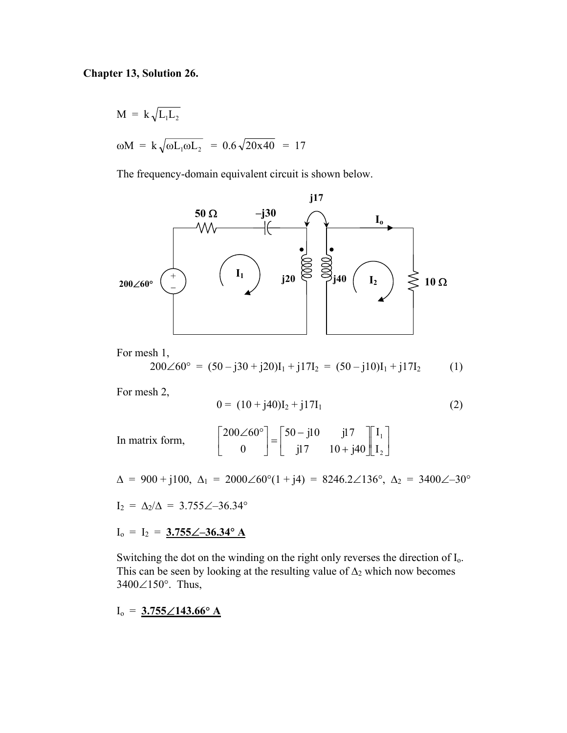#### **Chapter 13, Solution 26.**

 $M = k \sqrt{L_1 L_2}$  $\omega M = k \sqrt{\omega L_1 \omega L_2} = 0.6 \sqrt{20x40} = 17$ 

The frequency-domain equivalent circuit is shown below.



For mesh 1,

$$
200\angle 60^{\circ} = (50 - j30 + j20)I_1 + j17I_2 = (50 - j10)I_1 + j17I_2 \tag{1}
$$

For mesh 2,

$$
0 = (10 + j40)I_2 + j17I_1
$$
 (2)

In matrix form,  $\begin{vmatrix} 200260 \\ 0 \end{vmatrix} = \begin{vmatrix} 0 & \frac{1}{2} & \frac{1}{2} & \frac{1}{2} & \frac{1}{2} & \frac{1}{2} & \frac{1}{2} & \frac{1}{2} & \frac{1}{2} \end{vmatrix}$  $\rfloor$  $\begin{bmatrix} I_1 \\ I \end{bmatrix}$ L L  $\overline{\phantom{a}}$  $\rfloor$  $\begin{vmatrix} 50 - j10 & j17 \\ j17 & 10 + j40 \end{vmatrix}$ L  $\overline{ }$  $\begin{bmatrix} 50 - j10 & j1 \\ j17 & 10 + j \end{bmatrix}$  $\rfloor$  $\left| \frac{200\angle 60^{\circ}}{0} \right|$ L ∠ ° 2 1 I I  $j17$   $10 + j40$  $50 - j10$   $j17$ 0  $200\angle 60$ 

 $\Delta = 900 + j100$ ,  $\Delta_1 = 2000\angle 60^\circ (1 + j4) = 8246.2\angle 136^\circ$ ,  $\Delta_2 = 3400\angle -30^\circ$ 

 $I_2 = \Delta_2/\Delta = 3.755\angle -36.34^\circ$ 

 $I_0 = I_2 = 3.755 \angle -36.34^\circ A$ 

Switching the dot on the winding on the right only reverses the direction of  $I_0$ . This can be seen by looking at the resulting value of  $\Delta_2$  which now becomes 3400∠150°. Thus,

Io = **3.755**∠**143.66**° **A**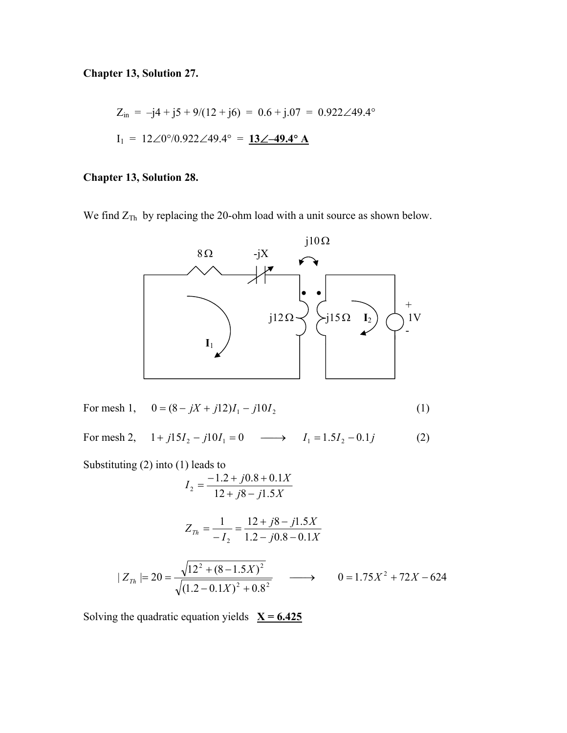**Chapter 13, Solution 27.** 

$$
Z_{in} = -j4 + j5 + 9/(12 + j6) = 0.6 + j.07 = 0.922 \angle 49.4^{\circ}
$$
  

$$
I_1 = 12 \angle 0^{\circ}/0.922 \angle 49.4^{\circ} = \underline{13 \angle -49.4^{\circ} A}
$$

### **Chapter 13, Solution 28.**

We find  $Z_{Th}$  by replacing the 20-ohm load with a unit source as shown below.



For mesh 1, 
$$
0 = (8 - jX + j12)I_1 - j10I_2
$$
 (1)

For mesh 2,  $1 + j15I_2 - j10I_1 = 0 \longrightarrow I_1 = 1.5I_2 - 0.1j$  (2)

Substituting (2) into (1) leads to

$$
I_2 = \frac{-1.2 + j0.8 + 0.1X}{12 + j8 - j1.5X}
$$

$$
Z_{Th} = \frac{1}{-I_2} = \frac{12 + j8 - j1.5X}{1.2 - j0.8 - 0.1X}
$$

$$
|Z_{Th}| = 20 = \frac{\sqrt{12^2 + (8 - 1.5X)^2}}{\sqrt{(1.2 - 0.1X)^2 + 0.8^2}} \longrightarrow 0 = 1.75X^2 + 72X - 624
$$

Solving the quadratic equation yields  $X = 6.425$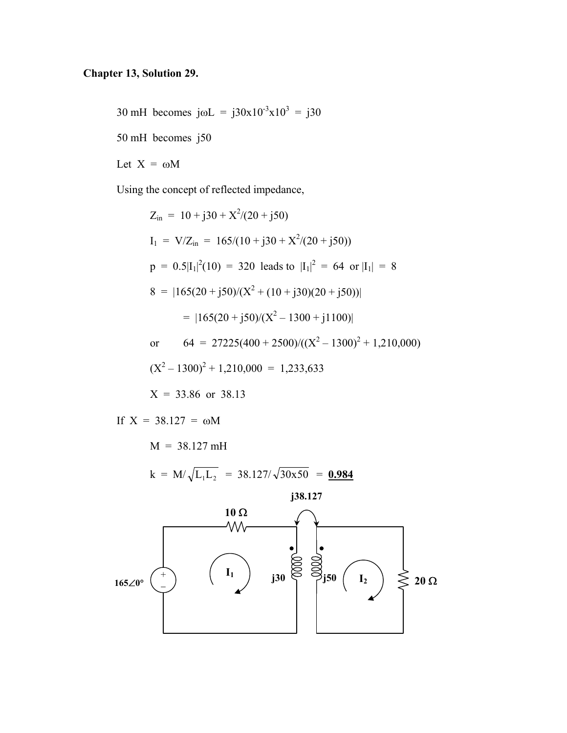# **Chapter 13, Solution 29.**

30 mH becomes  $j\omega L = j30x10^{-3}x10^{3} = j30$ 

50 mH becomes j50

Let  $X = \omega M$ 

Using the concept of reflected impedance,

$$
Z_{in} = 10 + j30 + X^{2}/(20 + j50)
$$
  
\n
$$
I_{1} = V/Z_{in} = 165/(10 + j30 + X^{2}/(20 + j50))
$$
  
\n
$$
p = 0.5|I_{1}|^{2}(10) = 320
$$
 leads to  $|I_{1}|^{2} = 64$  or  $|I_{1}| = 8$   
\n
$$
8 = |165(20 + j50)/(X^{2} + (10 + j30)(20 + j50))|
$$
  
\n
$$
= |165(20 + j50)/(X^{2} - 1300 + j1100)|
$$
  
\nor 
$$
64 = 27225(400 + 2500)/((X^{2} - 1300)^{2} + 1,210,000)
$$
  
\n
$$
(X^{2} - 1300)^{2} + 1,210,000 = 1,233,633
$$
  
\n
$$
X = 33.86
$$
 or 38.13

If  $X = 38.127 = \omega M$ 

 $M = 38.127 \text{ mH}$ 

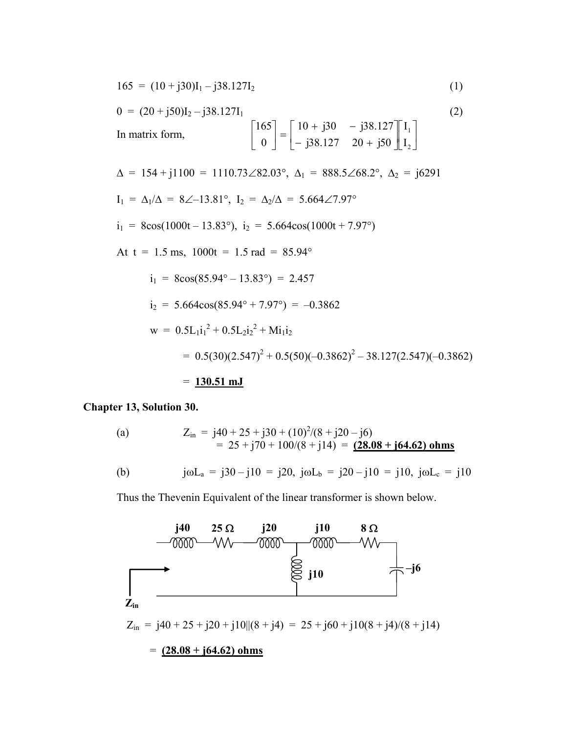$$
165 = (10 + j30)I_1 - j38.127I_2 \tag{1}
$$

$$
0 = (20 + j50)I_2 - j38.127I_1
$$
\nIn matrix form,  
\n
$$
\begin{bmatrix}\n165 \\
0\n\end{bmatrix} = \begin{bmatrix}\n10 + j30 & -j38.127 \\
j38.127 & 20 + j50\n\end{bmatrix} \begin{bmatrix}\nI_1 \\
I_2\n\end{bmatrix}
$$
\n
$$
\Delta = 154 + j1100 = 1110.73 \angle 82.03^\circ, \Delta_1 = 888.5 \angle 68.2^\circ, \Delta_2 = j6291
$$
\n
$$
I_1 = \Delta_1/\Delta = 8 \angle -13.81^\circ, I_2 = \Delta_2/\Delta = 5.664 \angle 7.97^\circ
$$
\n
$$
i_1 = 8\cos(1000t - 13.83^\circ), i_2 = 5.664\cos(1000t + 7.97^\circ)
$$
\nAt  $t = 1.5$  ms,  $1000t = 1.5$  rad = 85.94°  
\n
$$
i_1 = 8\cos(85.94^\circ - 13.83^\circ) = 2.457
$$
\n
$$
i_2 = 5.664\cos(85.94^\circ + 7.97^\circ) = -0.3862
$$
\n
$$
w = 0.5L_1 i_1^2 + 0.5L_2 i_2^2 + Mi_1 i_2
$$
\n
$$
= 0.5(30)(2.547)^2 + 0.5(50)(-0.3862)^2 - 38.127(2.547)(-0.3862)
$$
\n
$$
= \mathbf{130.51} \text{ mJ}
$$

**Chapter 13, Solution 30.** 

(a) 
$$
Z_{in} = j40 + 25 + j30 + (10)^{2}/(8 + j20 - j6)
$$

$$
= 25 + j70 + 100/(8 + j14) = (28.08 + j64.62) \text{ ohms}
$$
(b) 
$$
j\omega L_a = j30 - j10 = j20, \ j\omega L_b = j20 - j10 = j10, \ j\omega L_c = j10
$$

Thus the Thevenin Equivalent of the linear transformer is shown below.

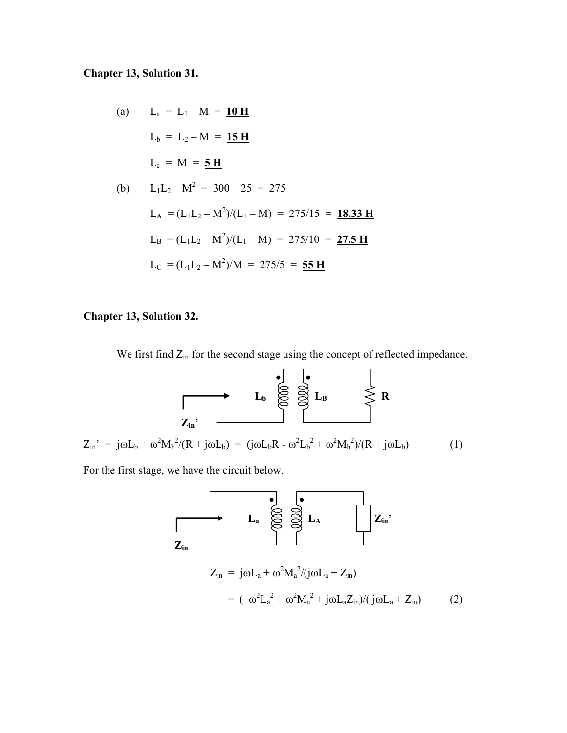### **Chapter 13, Solution 31.**

(a) 
$$
L_a = L_1 - M = 10 \text{ H}
$$
  
\n $L_b = L_2 - M = 15 \text{ H}$   
\n $L_c = M = 5 \text{ H}$   
\n(b)  $L_1 L_2 - M^2 = 300 - 25 = 275$   
\n $L_A = (L_1 L_2 - M^2)/(L_1 - M) = 275/15 = 18.33 \text{ H}$   
\n $L_B = (L_1 L_2 - M^2)/(L_1 - M) = 275/10 = 27.5 \text{ H}$   
\n $L_C = (L_1 L_2 - M^2)/M = 275/5 = 55 \text{ H}$ 

### **Chapter 13, Solution 32.**

We first find  $Z_{in}$  for the second stage using the concept of reflected impedance.



For the first stage, we have the circuit below.

$$
L_{a} \otimes \otimes L_{A}
$$
\n
$$
Z_{in} = j\omega L_{a} + \omega^{2} M_{a}^{2} / (j\omega L_{a} + Z_{in})
$$
\n
$$
= (-\omega^{2} L_{a}^{2} + \omega^{2} M_{a}^{2} + j\omega L_{a} Z_{in}) / (j\omega L_{a} + Z_{in})
$$
\n(2)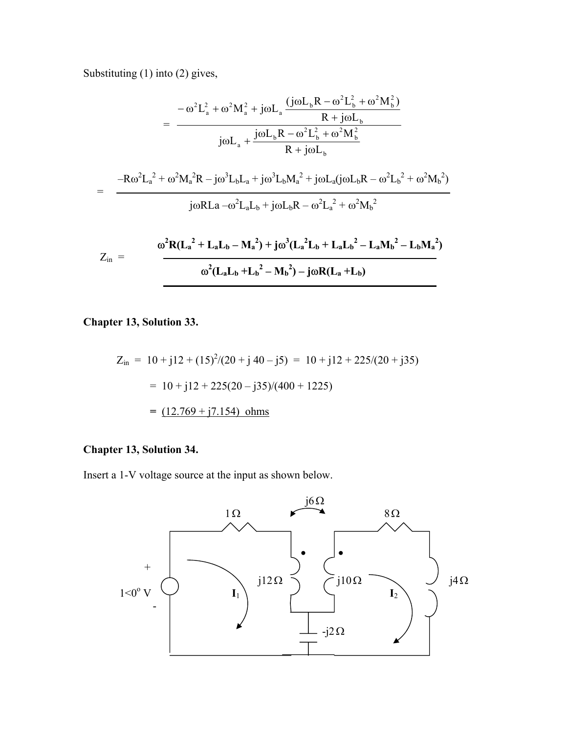Substituting (1) into (2) gives,

$$
= \frac{-\omega^{2}L_{a}^{2} + \omega^{2}M_{a}^{2} + j\omega L_{a}\frac{(j\omega L_{b}R - \omega^{2}L_{b}^{2} + \omega^{2}M_{b}^{2})}{R + j\omega L_{b}}}{j\omega L_{a} + \frac{j\omega L_{b}R - \omega^{2}L_{b}^{2} + \omega^{2}M_{b}^{2}}{R + j\omega L_{b}}}
$$

$$
= \frac{-R\omega^{2}L_{a}^{2} + \omega^{2}M_{a}^{2}R - j\omega^{3}L_{b}L_{a} + j\omega^{3}L_{b}M_{a}^{2} + j\omega L_{a}(j\omega L_{b}R - \omega^{2}L_{b}^{2} + \omega^{2}M_{b}^{2})}{j\omega RLa - \omega^{2}L_{a}L_{b} + j\omega L_{b}R - \omega^{2}L_{a}^{2} + \omega^{2}M_{b}^{2}}
$$

$$
Z_{in} = \frac{\omega^{2}R(L_{a}^{2} + L_{a}L_{b} - M_{a}^{2}) + j\omega^{3}(L_{a}^{2}L_{b} + L_{a}L_{b}^{2} - L_{a}M_{b}^{2} - L_{b}M_{a}^{2})}{\omega^{2}(L_{a}L_{b} + L_{b}^{2} - M_{b}^{2}) - j\omega R(L_{a} + L_{b})}
$$

**Chapter 13, Solution 33.** 

$$
Z_{in} = 10 + j12 + (15)^{2}/(20 + j40 - j5) = 10 + j12 + 225/(20 + j35)
$$
  
= 10 + j12 + 225(20 - j35)/(400 + 1225)  
= (12.769 + j7.154) ohms

# **Chapter 13, Solution 34.**

Insert a 1-V voltage source at the input as shown below.

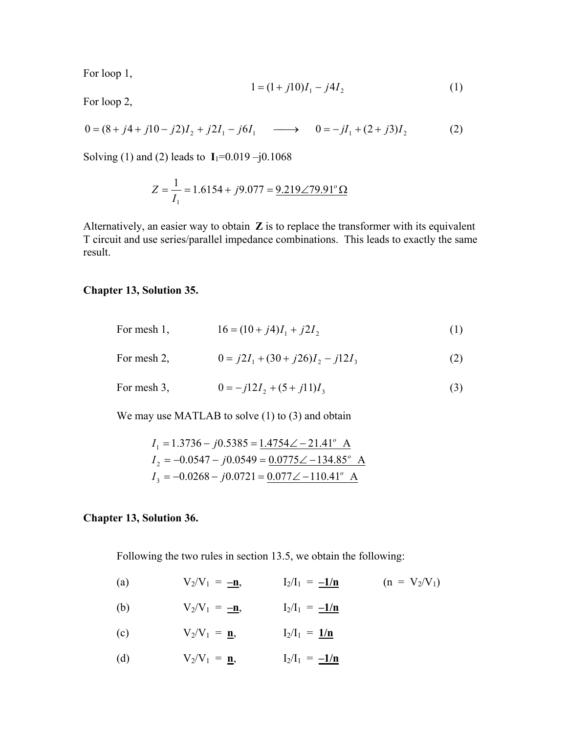For loop 1,

$$
1 = (1 + j10)I_1 - j4I_2 \tag{1}
$$

For loop 2,

$$
0 = (8 + j4 + j10 - j2)I_2 + j2I_1 - j6I_1 \longrightarrow 0 = -jI_1 + (2 + j3)I_2
$$
 (2)

Solving (1) and (2) leads to  $I_1 = 0.019 - j0.1068$ 

$$
Z = \frac{1}{I_1} = 1.6154 + j9.077 = \frac{9.219 \angle 79.91^{\circ} \Omega}{2}
$$

Alternatively, an easier way to obtain **Z** is to replace the transformer with its equivalent T circuit and use series/parallel impedance combinations. This leads to exactly the same result.

#### **Chapter 13, Solution 35.**

| For mesh 1, | $16 = (10 + i4)I_1 + i2I_2$         | (1) |
|-------------|-------------------------------------|-----|
| For mesh 2, | $0 = i2I_1 + (30 + i26)I_2 - i2I_3$ | (2) |
| For mesh 3, | $0 = -j12I_2 + (5 + j11)I_3$        | (3) |

We may use MATLAB to solve (1) to (3) and obtain

$$
I_1 = 1.3736 - j0.5385 = 1.4754 \angle -21.41^{\circ} A
$$
  
\n
$$
I_2 = -0.0547 - j0.0549 = 0.0775 \angle -134.85^{\circ} A
$$
  
\n
$$
I_3 = -0.0268 - j0.0721 = 0.077 \angle -110.41^{\circ} A
$$

#### **Chapter 13, Solution 36.**

Following the two rules in section 13.5, we obtain the following:

- (a)  $V_2/V_1 = -n,$   $I_2/I_1 = -1/n$   $(n = V_2/V_1)$
- (b)  $V_2/V_1 = -n$ ,  $I_2/I_1 = -1/n$
- (c)  $V_2/V_1 = \underline{\mathbf{n}},$   $I_2/I_1 = \underline{1/\mathbf{n}}$
- (d)  $V_2/V_1 = \underline{\mathbf{n}}, \qquad I_2/I_1 = \underline{-1/\mathbf{n}}$